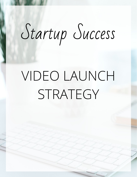# Startup Success

## VIDEO LAUNCH STRATEGY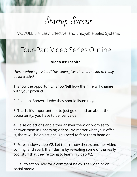Startup Success

## Four-Part Video Series Outline

#### **Video #1: Inspire**

*"Here's what's possible." This video gives them a reason to really be interested.*

1. Show the opportunity. Show/tell how their life will change with your product.

2. Position. Show/tell why they should listen to you.

3. Teach. It's important not to just go on and on about the opportunity; you have to deliver value.

4. Raise objections and either answer them or promise to answer them in upcoming videos. No matter what your offer is, there will be objections. You need to face them head on.

5. Foreshadow video #2. Let them know there's another video coming, and spark their desire by revealing some of the really cool stuff that they're going to learn in video #2.

6. Call to action. Ask for a comment below the video or on social media.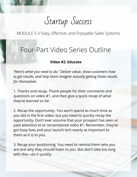Startup Success

### Four-Part Video Series Outline

#### **Video #2: Educate**

*"Here's what you need to do." Deliver value, show customers how to get results, and help them imagine actually getting those results for themselves.*

1. Thanks and recap. Thank people for their comments and questions on video #1, and then give a quick recap of what they've learned so far.

2. Recap the opportunity. You won't spend as much time as you did in the first video, but you need to quickly recap the opportunity. Don't ever assume that your prospect has seen or paid attention to or remembered video #1. Remember, they've got busy lives and your launch isn't nearly as important to them as it is to you.

3. Recap your positioning. You need to remind them who you are and why they should listen to you. But don't take too long with this—do it quickly.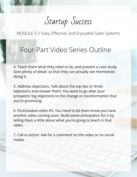Startup Success

## Four-Part Video Series Outline

4. Teach them what they need to do, and present a case study. Give plenty of detail, so that they can actually see themselves doing it.

5. Address objections. Talk about the top two or three objections and answer them. You want to go after your prospects' big objections to the change or transformation that you're promising.

6. Foreshadow video #3. You need to let them know you have another video coming soon. Build some anticipation for it by telling them a little about what you're going to teach in that video.

7. Call to action. Ask for a comment on the video or on social media.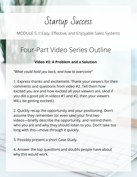Startup Success

#### Four-Part Video Series Outline

#### **Video #3: A Problem and a Solution**

*"What could hold you back, and how to overcome"*

1. Express thanks and excitement. Thank your viewers for their comments and questions from video #2. Tell them how excited you are and how excited all your viewers are. (And if you did a good job in videos #1 and #2, then your viewers WILL be getting excited.)

2. Quickly recap the opportunity and your positioning. Don't assume they remember (or even saw) your first two videos—briefly describe the opportunity, and remind them who you are and why they should listen to you. Don't take too long with this—move through it quickly.

3. Possibly present a short Case Study.

4. Answer the top questions and doubts people have about why this would work.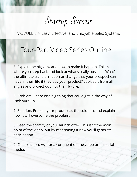Startup Success

### Four-Part Video Series Outline

5. Explain the big view and how to make it happen. This is where you step back and look at what's really possible. What's the ultimate transformation or change that your prospect can have in their life if they buy your product? Look at it from all angles and project out into their future.

6. Problem. Share one big thing that could get in the way of their success.

7. Solution. Present your product as the solution, and explain how it will overcome the problem.

8. Seed the scarcity of your launch offer. This isn't the main point of the video, but by mentioning it now you'll generate anticipation.

9. Call to action. Ask for a comment on the video or on social media.